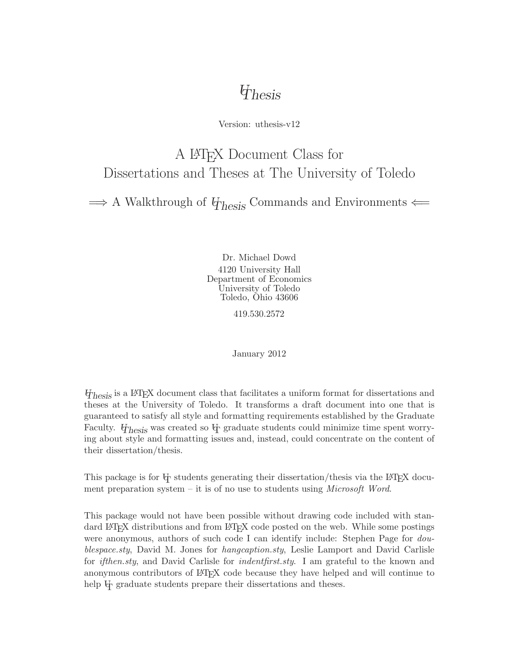# *UThesis*

Version: uthesis-v12

# A LATEX Document Class for Dissertations and Theses at The University of Toledo

 $\Rightarrow$  A Walkthrough of  $\psi_{\text{hesis}}$  Commands and Environments  $\Leftarrow$ 

Dr. Michael Dowd 4120 University Hall Department of Economics University of Toledo Toledo, Ohio 43606

419.530.2572

January 2012

*UThesis* is a LATEX document class that facilitates a uniform format for dissertations and theses at the University of Toledo. It transforms a draft document into one that is guaranteed to satisfy all style and formatting requirements established by the Graduate Faculty. *U<sub>Ihesis</sub>* was created so U<sub>I</sub> graduate students could minimize time spent worrying about style and formatting issues and, instead, could concentrate on the content of their dissertation/thesis.

This package is for  $\Psi$  students generating their dissertation/thesis via the LAT<sub>E</sub>X document preparation system – it is of no use to students using *Microsoft Word*.

This package would not have been possible without drawing code included with standard LAT<sub>EX</sub> distributions and from LAT<sub>EX</sub> code posted on the web. While some postings were anonymous, authors of such code I can identify include: Stephen Page for *doublespace.sty*, David M. Jones for *hangcaption.sty*, Leslie Lamport and David Carlisle for *ifthen.sty*, and David Carlisle for *indentfirst.sty*. I am grateful to the known and anonymous contributors of LATEX code because they have helped and will continue to help  $\Phi$  graduate students prepare their dissertations and theses.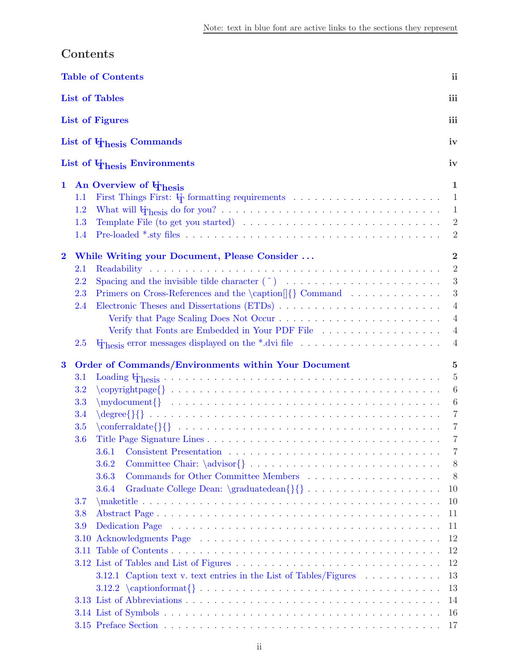<span id="page-1-1"></span><span id="page-1-0"></span>

|              | Contents                     |                                                                                                                           |                  |  |  |  |
|--------------|------------------------------|---------------------------------------------------------------------------------------------------------------------------|------------------|--|--|--|
|              |                              | <b>Table of Contents</b>                                                                                                  | ii               |  |  |  |
|              | <b>List of Tables</b><br>iii |                                                                                                                           |                  |  |  |  |
|              |                              | <b>List of Figures</b>                                                                                                    | iii              |  |  |  |
|              |                              | List of $\Phi$ <sub>hesis</sub> Commands                                                                                  | iv               |  |  |  |
|              |                              | List of $\Phi$ <sub>hesis</sub> Environments                                                                              | iv               |  |  |  |
|              |                              |                                                                                                                           | 1                |  |  |  |
| $\mathbf{1}$ | 1.1                          | An Overview of $\Phi$ hesis                                                                                               | $\mathbf{1}$     |  |  |  |
|              | 1.2                          |                                                                                                                           | 1                |  |  |  |
|              | 1.3                          |                                                                                                                           | $\overline{2}$   |  |  |  |
|              | 1.4                          |                                                                                                                           | $\overline{2}$   |  |  |  |
|              |                              |                                                                                                                           |                  |  |  |  |
| $\bf{2}$     |                              | While Writing your Document, Please Consider                                                                              | $\bf{2}$         |  |  |  |
|              | 2.1                          |                                                                                                                           | $\overline{2}$   |  |  |  |
|              | 2.2                          |                                                                                                                           | 3                |  |  |  |
|              | 2.3                          | Primers on Cross-References and the \caption <sup>[]</sup> {} Command                                                     | $\boldsymbol{3}$ |  |  |  |
|              | 2.4                          |                                                                                                                           | $\overline{4}$   |  |  |  |
|              |                              |                                                                                                                           | $\overline{4}$   |  |  |  |
|              |                              | Verify that Fonts are Embedded in Your PDF File                                                                           | $\overline{4}$   |  |  |  |
|              | <b>2.5</b>                   |                                                                                                                           | $\overline{4}$   |  |  |  |
| $\bf{3}$     |                              | Order of Commands/Environments within Your Document                                                                       | 5                |  |  |  |
|              | 3.1                          |                                                                                                                           | $\overline{5}$   |  |  |  |
|              | <b>3.2</b>                   |                                                                                                                           | $6\phantom{.}6$  |  |  |  |
|              | 3.3                          | $\mbox{mod}$                                                                                                              | $\boldsymbol{6}$ |  |  |  |
|              | 3.4                          |                                                                                                                           | $\overline{7}$   |  |  |  |
|              | 3.5                          |                                                                                                                           | $\overline{7}$   |  |  |  |
|              | 3.6                          |                                                                                                                           | 7                |  |  |  |
|              |                              | 3.6.1                                                                                                                     | 7                |  |  |  |
|              |                              | 3.6.2                                                                                                                     | 8                |  |  |  |
|              |                              | 3.6.3                                                                                                                     | 8                |  |  |  |
|              |                              |                                                                                                                           |                  |  |  |  |
|              |                              | Graduate College Dean: \graduatedean{}{}<br>3.6.4                                                                         | 10               |  |  |  |
|              | <b>3.7</b>                   |                                                                                                                           | 10               |  |  |  |
|              | 3.8                          |                                                                                                                           | 11               |  |  |  |
|              | 3.9                          | Dedication Page (and a series and a series and a series and a series and a series are series and a series of $\mathbb{R}$ | 11               |  |  |  |
|              | 3.10                         |                                                                                                                           | 12               |  |  |  |
|              |                              |                                                                                                                           | 12               |  |  |  |
|              |                              | 3.12 List of Tables and List of Figures                                                                                   | 12               |  |  |  |
|              |                              | 3.12.1 Caption text v. text entries in the List of Tables/Figures                                                         | 13               |  |  |  |
|              |                              |                                                                                                                           | 13               |  |  |  |
|              |                              |                                                                                                                           | 14               |  |  |  |
|              |                              |                                                                                                                           | 16               |  |  |  |
|              |                              |                                                                                                                           |                  |  |  |  |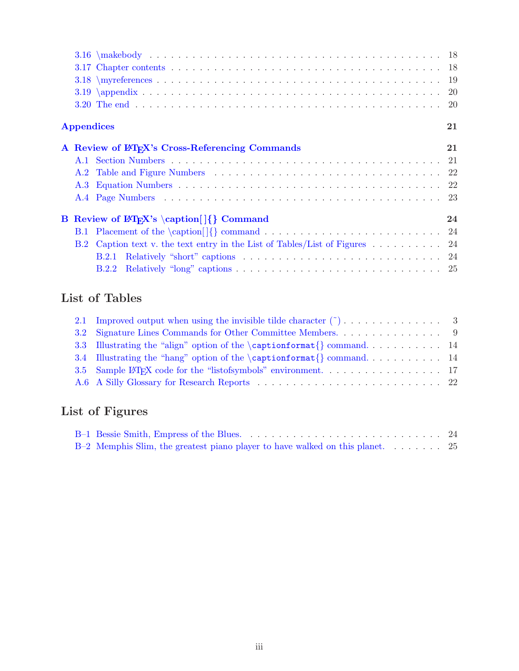|     | <b>Appendices</b>                                                                                 | 21 |
|-----|---------------------------------------------------------------------------------------------------|----|
|     | A Review of LAT <sub>F</sub> X's Cross-Referencing Commands                                       | 21 |
|     |                                                                                                   |    |
|     |                                                                                                   |    |
| A.3 |                                                                                                   |    |
|     |                                                                                                   |    |
|     | B Review of $\mathbb{P}[X\$ 's \caption $\{\}$ Command                                            | 24 |
| B.1 |                                                                                                   |    |
| B.2 | Caption text v. the text entry in the List of Tables/List of Figures $\dots \dots \dots \dots$ 24 |    |
|     | <b>B.2.1</b>                                                                                      |    |
|     | B.2.2                                                                                             |    |

## <span id="page-2-0"></span>**List of Tables**

| 3.3 Illustrating the "align" option of the $\cap$ ration format $\{\}$ command 14 |  |
|-----------------------------------------------------------------------------------|--|
| 3.4 Illustrating the "hang" option of the $\cap$ ration format $\{\}$ command 14  |  |
|                                                                                   |  |
|                                                                                   |  |

# <span id="page-2-1"></span>**List of Figures**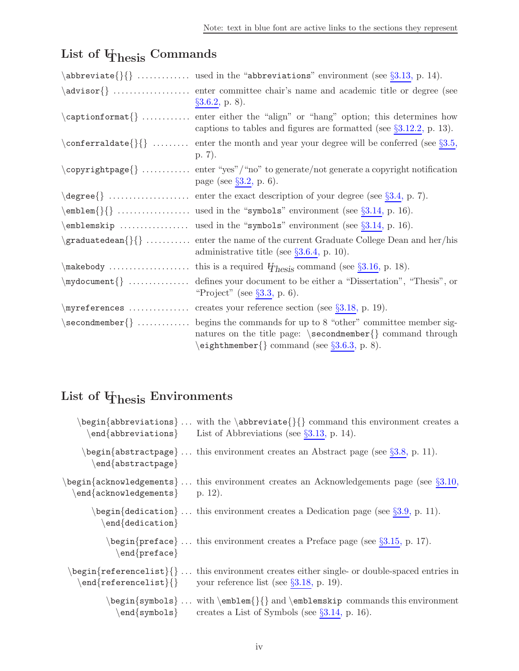# List of  $\Phi$ <sub>hesis</sub> Commands

<span id="page-3-0"></span>

| $\ab{breviate} \$ used in the "abbreviations" environment (see $\S3.13$ , p. 14).                                                                                                                                                                             |
|---------------------------------------------------------------------------------------------------------------------------------------------------------------------------------------------------------------------------------------------------------------|
| $\S3.6.2$ , p. 8).                                                                                                                                                                                                                                            |
| $\cap$ $\{\}$ enter either the "align" or "hang" option; this determines how<br>captions to tables and figures are formatted (see $\S3.12.2$ , p. 13).                                                                                                        |
| $\operatorname{constant}$ { $\{\}$ enter the month and year your degree will be conferred (see §3.5,<br>p. 7).                                                                                                                                                |
| $\emptyset$ \copyright page { }  enter "yes" / "no" to generate / not generate a copyright notification<br>page (see $\S 3.2$ , p. 6).                                                                                                                        |
| $\deg$ ree $\{\}\dots\dots\dots\dots\dots\dots$ enter the exact description of your degree (see §3.4, p. 7).                                                                                                                                                  |
|                                                                                                                                                                                                                                                               |
| \emblemskip  used in the "symbols" environment (see $\S 3.14$ , p. 16).                                                                                                                                                                                       |
| \graduatedean{}{}  enter the name of the current Graduate College Dean and her/his<br>administrative title (see $\S 3.6.4$ , p. 10).                                                                                                                          |
| $\{\text{makebody}\,\dots\,\dots\,\dots\,\dots\,\text{this is a required }$\mathcal{H}$\}_{\text{hesis}}$ command (see §3.16, p. 18).                                                                                                                         |
| $\uparrow$ (in $\downarrow$ mydocument $\uparrow$ defines your document to be either a "Dissertation", "Thesis", or<br>"Project" (see $\S 3.3$ , p. 6).                                                                                                       |
|                                                                                                                                                                                                                                                               |
| $\setminus$ second member $\}$ begins the commands for up to 8 "other" committee member sig-<br>natures on the title page: $\sec$ ondmember $\{\}$ command through<br>$\begin{array}{c} \text{eigenthmember} \text{ command (see §3.6.3, p. 8).} \end{array}$ |

# <span id="page-3-1"></span>**List of UThesis Environments**

|                                                 | begin{abbreviations} with the \abbreviate{}{} command this environment creates a<br>$\text{end}$ {abbreviations} List of Abbreviations (see §3.13, p. 14).                                                               |
|-------------------------------------------------|--------------------------------------------------------------------------------------------------------------------------------------------------------------------------------------------------------------------------|
| $\end{aligned}$ abstractpage}                   | $\beta$ begin $\{\text{abstractpage}\}\ldots$ this environment creates an Abstract page (see $\S 3.8$ , p. 11).                                                                                                          |
| $\operatorname{end}$ {acknowledgements} p. 12). | $\begin{bmatrix} \begin{array}{c} \Delta B \end{array} \end{bmatrix}$ acknowledgements $\cdot$ this environment creates an Acknowledgements page (see §3.10,                                                             |
| $\end{equation}$                                | $\begin{bmatrix} \begin{array}{c} \Delta \end{array} \end{bmatrix}$ this environment creates a Dedication page (see §3.9, p. 11).                                                                                        |
| $\end{reface$                                   | $\begin{bmatrix} \begin{array}{c} \Delta \end{array} & \Delta \end{bmatrix}$ this environment creates a Preface page (see §3.15, p. 17).                                                                                 |
|                                                 | $\begin{align*} \begin{cases} \begin{cases} \frac{1}{2} & \text{if } 1 \leq x \leq 1 \end{cases} \end{cases} \end{align*}$<br>$\text{end} \{ \text{referencelist} \} \{ \}$ your reference list (see $\S 3.18$ , p. 19). |
|                                                 | \begin{symbols} with \emblem{}{} and \emblemskip commands this environment<br>end{symbols} creates a List of Symbols (see $\S 3.14$ , p. 16).                                                                            |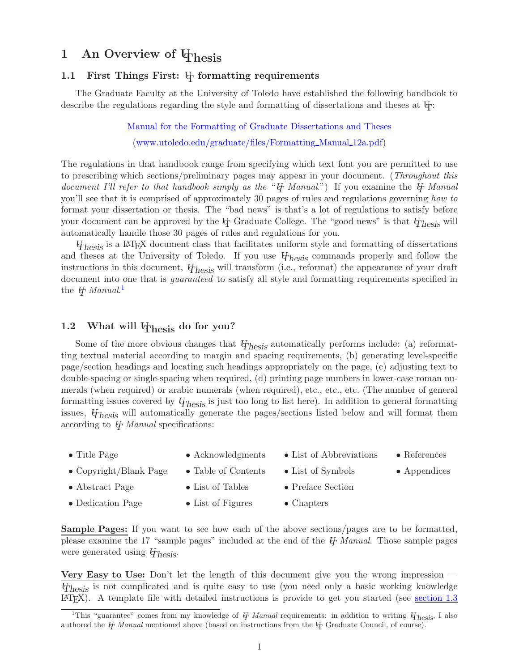## <span id="page-4-0"></span>1 An Overview of  $\Phi$ hesis

#### <span id="page-4-1"></span>**1.1 First Things First:**  $\psi$  formatting requirements

The Graduate Faculty at the University of Toledo have established the following handbook to describe the regulations regarding the style and formatting of dissertations and theses at  $\mathbb{H}$ :

> [Manual for the Formatting of Graduate Dissertations and Theses](http://www.utoledo.edu/graduate/files/Formatting_Manual_12a.pdf) [\(www.utoledo.edu/graduate/files/Formatting](http://www.utoledo.edu/graduate/files/Formatting_Manual_12a.pdf) Manual 12a.pdf)

The regulations in that handbook range from specifying which text font you are permitted to use to prescribing which sections/preliminary pages may appear in your document. (*Throughout this document I'll refer to that handbook simply as the* "*UT Manual*.") If you examine the *UT Manual* you'll see that it is comprised of approximately 30 pages of rules and regulations governing *how to* format your dissertation or thesis. The "bad news" is that's a lot of regulations to satisfy before your document can be approved by the  $\Psi$  Graduate College. The "good news" is that  $\Psi_{\text{hesis}}$  will automatically handle those 30 pages of rules and regulations for you.

*UThesis* is a LATEX document class that facilitates uniform style and formatting of dissertations and theses at the University of Toledo. If you use *UThesis* commands properly and follow the instructions in this document, *UThesis* will transform (i.e., reformat) the appearance of your draft document into one that is *guaranteed* to satisfy all style and formatting requirements specified in the *U<sub>T</sub> Manual.*<sup>[1](#page-4-3)</sup>

## <span id="page-4-2"></span>**1.2** What will  $\Phi$ <sub>hesis</sub> do for you?

Some of the more obvious changes that  $\psi_{\text{hesis}}$  automatically performs include: (a) reformatting textual material according to margin and spacing requirements, (b) generating level-specific page/section headings and locating such headings appropriately on the page, (c) adjusting text to double-spacing or single-spacing when required, (d) printing page numbers in lower-case roman numerals (when required) or arabic numerals (when required), etc., etc., etc. (The number of general formatting issues covered by *UThesis* is just too long to list here). In addition to general formatting issues, *UThesis* will automatically generate the pages/sections listed below and will format them according to *UT Manual* specifications:

- Title Page Acknowledgments List of Abbreviations References
- Copyright/Blank Page Table of Contents List of Symbols Appendices
	-
- 
- Abstract Page List of Tables Preface Section
	-
- 
- 
- Dedication Page List of Figures Chapters

**Sample Pages:** If you want to see how each of the above sections/pages are to be formatted, please examine the 17 "sample pages" included at the end of the *UT Manual*. Those sample pages were generated using *UThesis*.

**Very Easy to Use:** Don't let the length of this document give you the wrong impression — *UThesis* is not complicated and is quite easy to use (you need only a basic working knowledge  $\Delta F$ <sub>EX</sub>). A template file with detailed instructions is provide to get you started (see [section 1.3](#page-5-0))

<span id="page-4-3"></span><sup>&</sup>lt;sup>1</sup>This "guarantee" comes from my knowledge of  $\ddot{\theta}$  *Manual* requirements: in addition to writing  $\ddot{\theta}$ <sub>*rhesis*</sub>, I also authored the *U<sub>T</sub> Manual* mentioned above (based on instructions from the U<sub>T</sub> Graduate Council, of course).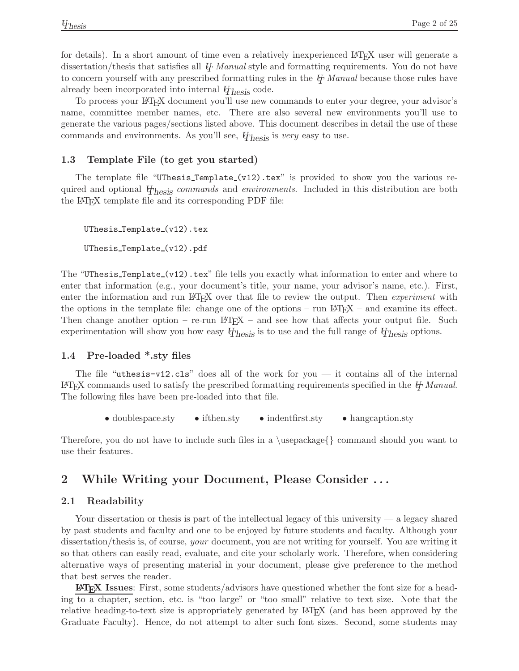for details). In a short amount of time even a relatively inexperienced LAT<sub>EX</sub> user will generate a dissertation/thesis that satisfies all *UT Manual* style and formatting requirements. You do not have to concern yourself with any prescribed formatting rules in the *UT Manual* because those rules have already been incorporated into internal *UThesis* code.

To process your LATEX document you'll use new commands to enter your degree, your advisor's name, committee member names, etc. There are also several new environments you'll use to generate the various pages/sections listed above. This document describes in detail the use of these commands and environments. As you'll see, *UThesis* is *very* easy to use.

#### <span id="page-5-0"></span>**1.3 Template File (to get you started)**

The template file "UThesis\_Template\_ $(v12)$ .tex" is provided to show you the various required and optional *UThesis commands* and *environments*. Included in this distribution are both the LATEX template file and its corresponding PDF file:

```
UThesis_Template_(v12).tex
UThesis_Template_(v12).pdf
```
The "UThesis\_Template\_(v12).tex" file tells you exactly what information to enter and where to enter that information (e.g., your document's title, your name, your advisor's name, etc.). First, enter the information and run LATEX over that file to review the output. Then *experiment* with the options in the template file: change one of the options – run  $\mathbb{B}T_F X$  – and examine its effect. Then change another option – re-run  $\mathbb{F}E[X]$  – and see how that affects your output file. Such experimentation will show you how easy  $\psi_{\text{hesis}}$  is to use and the full range of  $\psi_{\text{hesis}}$  options.

#### <span id="page-5-1"></span>**1.4 Pre-loaded \*.sty files**

The file "uthesis-v12.cls" does all of the work for you — it contains all of the internal LATEX commands used to satisfy the prescribed formatting requirements specified in the *UT Manual*. The following files have been pre-loaded into that file.

• doublespace.sty • if then.sty • indent first.sty • hangcaption.sty

Therefore, you do not have to include such files in a \usepackage{} command should you want to use their features.

## <span id="page-5-2"></span>**2 While Writing your Document, Please Consider . . .**

#### <span id="page-5-3"></span>**2.1 Readability**

Your dissertation or thesis is part of the intellectual legacy of this university — a legacy shared by past students and faculty and one to be enjoyed by future students and faculty. Although your dissertation/thesis is, of course, *your* document, you are not writing for yourself. You are writing it so that others can easily read, evaluate, and cite your scholarly work. Therefore, when considering alternative ways of presenting material in your document, please give preference to the method that best serves the reader.

**LATEX Issues**: First, some students/advisors have questioned whether the font size for a heading to a chapter, section, etc. is "too large" or "too small" relative to text size. Note that the relative heading-to-text size is appropriately generated by L<sup>AT</sup>F<sub>X</sub> (and has been approved by the Graduate Faculty). Hence, do not attempt to alter such font sizes. Second, some students may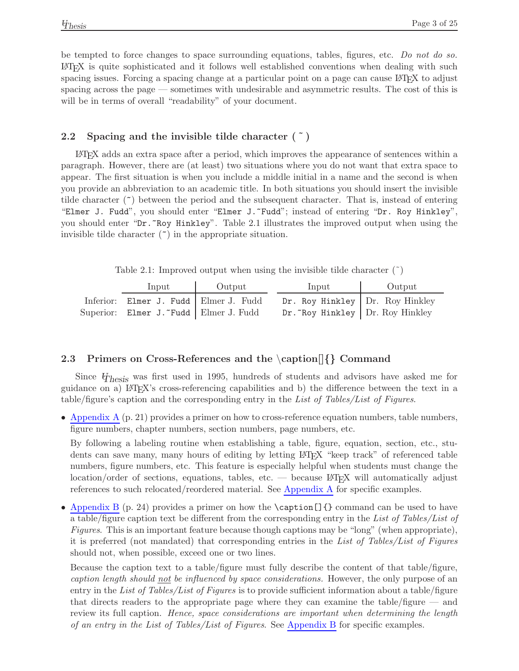be tempted to force changes to space surrounding equations, tables, figures, etc. *Do not do so.* LATEX is quite sophisticated and it follows well established conventions when dealing with such spacing issues. Forcing a spacing change at a particular point on a page can cause LATEX to adjust spacing across the page — sometimes with undesirable and asymmetric results. The cost of this is will be in terms of overall "readability" of your document.

## <span id="page-6-0"></span>**2.2 Spacing and the invisible tilde character ( ˜ )**

LATEX adds an extra space after a period, which improves the appearance of sentences within a paragraph. However, there are (at least) two situations where you do not want that extra space to appear. The first situation is when you include a middle initial in a name and the second is when you provide an abbreviation to an academic title. In both situations you should insert the invisible tilde character  $(\tilde{\phantom{a}})$  between the period and the subsequent character. That is, instead of entering "Elmer J. Fudd", you should enter "Elmer J. "Fudd"; instead of entering "Dr. Roy Hinkley", you should enter "Dr.~Roy Hinkley". Table 2.1 illustrates the improved output when using the invisible tilde character  $(\tilde{\ }')$  in the appropriate situation.

Table 2.1: Improved output when using the invisible tilde character  $(*)$ 

<span id="page-6-2"></span>

| Input                                   | Output | Input                              | Output |
|-----------------------------------------|--------|------------------------------------|--------|
| Inferior: Elmer J. Fudd   Elmer J. Fudd |        | $Dr. Roy Hinkley$ Dr. Roy Hinkley  |        |
| Superior: Elmer J.~Fudd   Elmer J. Fudd |        | Dr. "Roy Hinkley   Dr. Roy Hinkley |        |

## <span id="page-6-1"></span>**2.3 Primers on Cross-References and the** \**caption[]***{}* **Command**

Since *UThesis* was first used in 1995, hundreds of students and advisors have asked me for guidance on a) LATEX's cross-referencing capabilities and b) the difference between the text in a table/figure's caption and the corresponding entry in the *List of Tables/List of Figures*.

• [Appendix A](#page-24-1) (p. 21) provides a primer on how to cross-reference equation numbers, table numbers, figure numbers, chapter numbers, section numbers, page numbers, etc.

By following a labeling routine when establishing a table, figure, equation, section, etc., students can save many, many hours of editing by letting LAT<sub>EX</sub> "keep track" of referenced table numbers, figure numbers, etc. This feature is especially helpful when students must change the location/order of sections, equations, tables, etc. — because  $\mathbb{F}T\mathbb{F}X$  will automatically adjust references to such relocated/reordered material. See [Appendix A](#page-24-1) for specific examples.

• [Appendix B](#page-27-1) (p. 24) provides a primer on how the **\caption** [] { } command can be used to have a table/figure caption text be different from the corresponding entry in the *List of Tables/List of Figures*. This is an important feature because though captions may be "long" (when appropriate), it is preferred (not mandated) that corresponding entries in the *List of Tables/List of Figures* should not, when possible, exceed one or two lines.

Because the caption text to a table/figure must fully describe the content of that table/figure, *caption length should not be influenced by space considerations.* However, the only purpose of an entry in the *List of Tables/List of Figures* is to provide sufficient information about a table/figure that directs readers to the appropriate page where they can examine the table/figure — and review its full caption. *Hence, space considerations are important when determining the length of an entry in the List of Tables/List of Figures*. See [Appendix B](#page-27-1) for specific examples.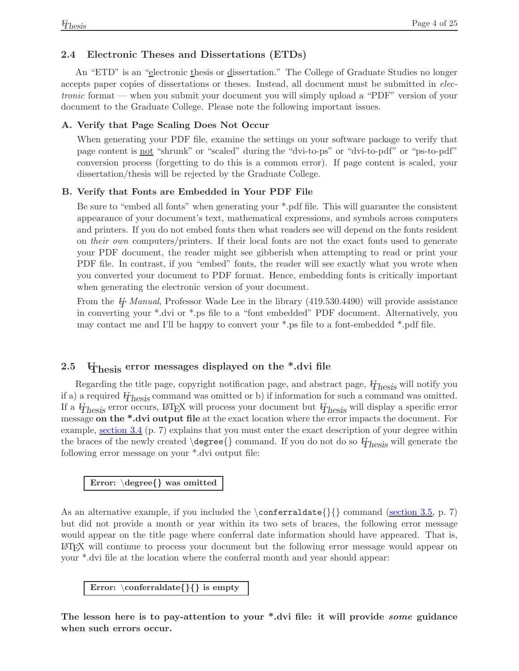## <span id="page-7-0"></span>**2.4 Electronic Theses and Dissertations (ETDs)**

An "ETD" is an "electronic thesis or dissertation." The College of Graduate Studies no longer accepts paper copies of dissertations or theses. Instead, all document must be submitted in *electronic* format — when you submit your document you will simply upload a "PDF" version of your document to the Graduate College. Please note the following important issues.

#### <span id="page-7-1"></span>**A. Verify that Page Scaling Does Not Occur**

When generating your PDF file, examine the settings on your software package to verify that page content is not "shrunk" or "scaled" during the "dvi-to-ps" or "dvi-to-pdf" or "ps-to-pdf" conversion process (forgetting to do this is a common error). If page content is scaled, your dissertation/thesis will be rejected by the Graduate College.

#### <span id="page-7-2"></span>**B. Verify that Fonts are Embedded in Your PDF File**

Be sure to "embed all fonts" when generating your \*.pdf file. This will guarantee the consistent appearance of your document's text, mathematical expressions, and symbols across computers and printers. If you do not embed fonts then what readers see will depend on the fonts resident on *their own* computers/printers. If their local fonts are not the exact fonts used to generate your PDF document, the reader might see gibberish when attempting to read or print your PDF file. In contrast, if you "embed" fonts, the reader will see exactly what you wrote when you converted your document to PDF format. Hence, embedding fonts is critically important when generating the electronic version of your document.

From the *U<sub>T</sub> Manual*, Professor Wade Lee in the library (419.530.4490) will provide assistance in converting your \*.dvi or \*.ps file to a "font embedded" PDF document. Alternatively, you may contact me and I'll be happy to convert your \*.ps file to a font-embedded \*.pdf file.

## <span id="page-7-3"></span>2.5 **U**<sub>hesis</sub> error messages displayed on the \*.dvi file

Regarding the title page, copyright notification page, and abstract page, *UThesis* will notify you if a) a required *UThesis* command was omitted or b) if information for such a command was omitted. If a *UThesis* error occurs, LATEX will process your document but *UThesis* will display a specific error message **on the \*.dvi output file** at the exact location where the error impacts the document. For example, <u>[section 3.4](#page-10-0)</u> (p. 7) explains that you must enter the exact description of your degree within the braces of the newly created \degree{} command. If you do not do so *UThesis* will generate the following error message on your \*.dvi output file:

## **Error:** \**degree***{}* **was omitted**

As an alternative example, if you included the  $\cong \mathbb{}{}\$  command [\(section 3.5,](#page-10-1) p. 7) but did not provide a month or year within its two sets of braces, the following error message would appear on the title page where conferral date information should have appeared. That is, LATEX will continue to process your document but the following error message would appear on your \*.dvi file at the location where the conferral month and year should appear:

**Error:** \**conferraldate***{}{}* **is empty**

**The lesson here is to pay-attention to your \*.dvi file: it will provide** *some* **guidance when such errors occur.**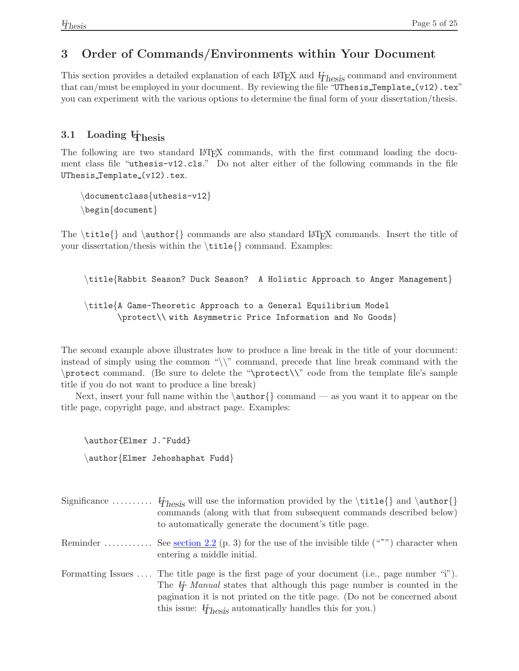## <span id="page-8-0"></span>**3 Order of Commands/Environments within Your Document**

This section provides a detailed explanation of each LATEX and *UThesis* command and environment that can/must be employed in your document. By reviewing the file "UThesis\_Template\_(v12).tex" you can experiment with the various options to determine the final form of your dissertation/thesis.

## <span id="page-8-1"></span>**3.1 Loading UThesis**

The following are two standard LAT<sub>EX</sub> commands, with the first command loading the document class file "uthesis-v12.cls." Do not alter either of the following commands in the file UThesis\_Template\_(v12).tex.

\documentclass{uthesis-v12} \begin{document}

The  $\tilde{\}$  and  $\aut{normals are also standard ETFX commands. Insert the title of$ your dissertation/thesis within the \title{} command. Examples:

```
\title{Rabbit Season? Duck Season? A Holistic Approach to Anger Management}
\title{A Game-Theoretic Approach to a General Equilibrium Model
       \protect\\ with Asymmetric Price Information and No Goods}
```
The second example above illustrates how to produce a line break in the title of your document: instead of simply using the common "\\" command, precede that line break command with the \protect command. (Be sure to delete the "\protect\\" code from the template file's sample title if you do not want to produce a line break)

Next, insert your full name within the  $\aut{} command$  command — as you want it to appear on the title page, copyright page, and abstract page. Examples:

\author{Elmer J.~Fudd} \author{Elmer Jehoshaphat Fudd}

| Significance $\{V_{\text{hesis}}\}$ will use the information provided by the $\tilde{}$ and $\tilde{}$<br>commands (along with that from subsequent commands described below)<br>to automatically generate the document's title page.                                                                                                                     |
|-----------------------------------------------------------------------------------------------------------------------------------------------------------------------------------------------------------------------------------------------------------------------------------------------------------------------------------------------------------|
| Reminder  See <u>section 2.2</u> (p. 3) for the use of the invisible tilde (""") character when<br>entering a middle initial.                                                                                                                                                                                                                             |
| Formatting Issues $\dots$ The title page is the first page of your document (i.e., page number "i").<br>The $\ddot{\theta}$ Manual states that although this page number is counted in the<br>pagination it is not printed on the title page. (Do not be concerned about<br>this issue: $\ddot{\phi}_{\text{hesis}}$ automatically handles this for you.) |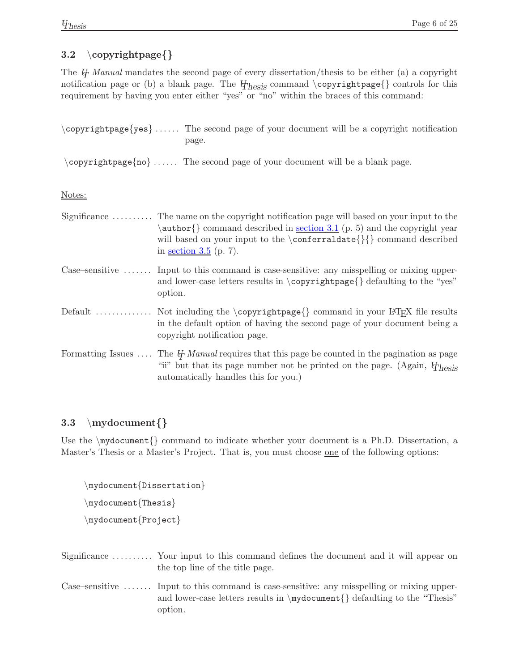## <span id="page-9-0"></span>**3.2** \**copyrightpage***{}*

The *UT Manual* mandates the second page of every dissertation/thesis to be either (a) a copyright notification page or (b) a blank page. The  $\psi_{\text{hesis}}$  command \copyrightpage{} controls for this requirement by having you enter either "yes" or "no" within the braces of this command:

| \copyrightpage{yes}  The second page of your document will be a copyright notification |
|----------------------------------------------------------------------------------------|
| page.                                                                                  |
|                                                                                        |

 $\emptyset$  copyrightpage{no} ...... The second page of your document will be a blank page.

Notes:

| Significance  The name on the copyright notification page will based on your input to the<br>$\{\{\text{common}\}\}\$ command described in section 3.1 (p. 5) and the copyright year<br>will based on your input to the $\operatorname{const}$ { {} command described<br>in <u>section <math>3.5</math></u> (p. 7). |
|---------------------------------------------------------------------------------------------------------------------------------------------------------------------------------------------------------------------------------------------------------------------------------------------------------------------|
| Case–sensitive $\dots \dots$ Input to this command is case-sensitive: any misspelling or mixing upper-<br>and lower-case letters results in $\coprod$ copyright page $\{\}$ defaulting to the "yes"<br>option.                                                                                                      |
| Default  Not including the \copyrightpage{} command in your LAT <sub>F</sub> X file results<br>in the default option of having the second page of your document being a<br>copyright notification page.                                                                                                             |
| Formatting Issues  The $\not{H}$ Manual requires that this page be counted in the pagination as page<br>"ii" but that its page number not be printed on the page. (Again, $\ddot{\phi}_{\text{hesis}}$<br>automatically handles this for you.)                                                                      |

## <span id="page-9-1"></span>**3.3** \**mydocument***{}*

Use the  $\text{Quament}$  command to indicate whether your document is a Ph.D. Dissertation, a Master's Thesis or a Master's Project. That is, you must choose one of the following options:

```
\mydocument{Dissertation}
\mydocument{Thesis}
\mydocument{Project}
```
- Significance . . . . . . . . . . Your input to this command defines the document and it will appear on the top line of the title page.
- Case–sensitive ....... Input to this command is case-sensitive: any misspelling or mixing upperand lower-case letters results in \mydocument{} defaulting to the "Thesis" option.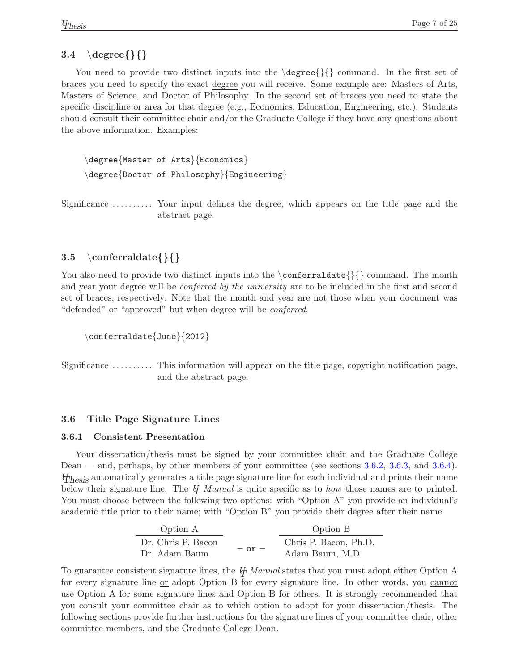## <span id="page-10-0"></span>**3.4** \**degree***{}{}*

You need to provide two distinct inputs into the  $\degree$   $\{\}$  command. In the first set of braces you need to specify the exact degree you will receive. Some example are: Masters of Arts, Masters of Science, and Doctor of Philosophy. In the second set of braces you need to state the specific discipline or area for that degree (e.g., Economics, Education, Engineering, etc.). Students should consult their committee chair and/or the Graduate College if they have any questions about the above information. Examples:

\degree{Master of Arts}{Economics} \degree{Doctor of Philosophy}{Engineering}

Significance . . . . . . . . . . Your input defines the degree, which appears on the title page and the abstract page.

## <span id="page-10-1"></span>**3.5** \**conferraldate***{}{}*

You also need to provide two distinct inputs into the  $\cong \mathbb{R}$  command. The month and year your degree will be *conferred by the university* are to be included in the first and second set of braces, respectively. Note that the month and year are <u>not</u> those when your document was "defended" or "approved" but when degree will be *conferred*.

\conferraldate{June}{2012}

Significance .......... This information will appear on the title page, copyright notification page, and the abstract page.

## <span id="page-10-3"></span><span id="page-10-2"></span>**3.6 Title Page Signature Lines**

#### **3.6.1 Consistent Presentation**

Your dissertation/thesis must be signed by your committee chair and the Graduate College Dean — and, perhaps, by other members of your committee (see sections [3.6.2,](#page-11-0) [3.6.3,](#page-11-1) and [3.6.4\)](#page-13-0). *UThesis* automatically generates a title page signature line for each individual and prints their name below their signature line. The *UT Manual* is quite specific as to *how* those names are to printed. You must choose between the following two options: with "Option A" you provide an individual's academic title prior to their name; with "Option B" you provide their degree after their name.

| Option A                            |            | Option B                                 |
|-------------------------------------|------------|------------------------------------------|
| Dr. Chris P. Bacon<br>Dr. Adam Baum | $-$ or $-$ | Chris P. Bacon, Ph.D.<br>Adam Baum, M.D. |

To guarantee consistent signature lines, the *U<sub>T</sub> Manual* states that you must adopt either Option A for every signature line or adopt Option B for every signature line. In other words, you cannot use Option A for some signature lines and Option B for others. It is strongly recommended that you consult your committee chair as to which option to adopt for your dissertation/thesis. The following sections provide further instructions for the signature lines of your committee chair, other committee members, and the Graduate College Dean.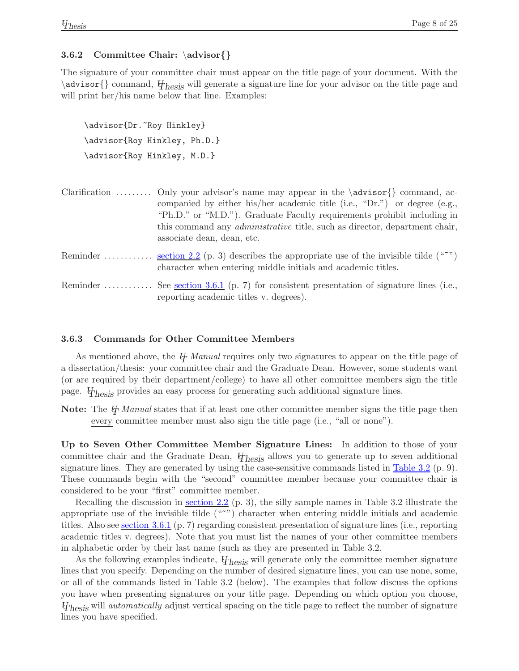#### <span id="page-11-0"></span>**3.6.2 Committee Chair:** \**advisor***{}*

The signature of your committee chair must appear on the title page of your document. With the \advisor{} command, *UThesis* will generate a signature line for your advisor on the title page and will print her/his name below that line. Examples:

```
\advisor{Dr.~Roy Hinkley}
\advisor{Roy Hinkley, Ph.D.}
\advisor{Roy Hinkley, M.D.}
```

| Clarification  Only your advisor's name may appear in the $\{\text{advisor}\}\$ command, ac-<br>companied by either his/her academic title (i.e., "Dr.") or degree (e.g.,<br>"Ph.D." or "M.D."). Graduate Faculty requirements prohibit including in<br>this command any <i>administrative</i> title, such as director, department chair,<br>associate dean, dean, etc. |
|-------------------------------------------------------------------------------------------------------------------------------------------------------------------------------------------------------------------------------------------------------------------------------------------------------------------------------------------------------------------------|
| Reminder <u>section 2.2</u> (p. 3) describes the appropriate use of the invisible tilde (" <sup>*</sup> ")<br>character when entering middle initials and academic titles.                                                                                                                                                                                              |
| Reminder  See <u>section 3.6.1</u> (p. 7) for consistent presentation of signature lines (i.e.,<br>reporting academic titles v. degrees).                                                                                                                                                                                                                               |

#### <span id="page-11-1"></span>**3.6.3 Commands for Other Committee Members**

As mentioned above, the *UT Manual* requires only two signatures to appear on the title page of a dissertation/thesis: your committee chair and the Graduate Dean. However, some students want (or are required by their department/college) to have all other committee members sign the title page. *UThesis* provides an easy process for generating such additional signature lines.

**Note:** The *UT Manual* states that if at least one other committee member signs the title page then every committee member must also sign the title page (i.e., "all or none").

**Up to Seven Other Committee Member Signature Lines:** In addition to those of your committee chair and the Graduate Dean, *UThesis* allows you to generate up to seven additional signature lines. They are generated by using the case-sensitive commands listed in  $\frac{\text{Table 3.2 (p. 9)}}{\text{Table 3.2 (p. 9)}}$  $\frac{\text{Table 3.2 (p. 9)}}{\text{Table 3.2 (p. 9)}}$  $\frac{\text{Table 3.2 (p. 9)}}{\text{Table 3.2 (p. 9)}}$ . These commands begin with the "second" committee member because your committee chair is considered to be your "first" committee member.

Recalling the discussion in [section 2.2](#page-6-0) (p. 3), the silly sample names in Table 3.2 illustrate the appropriate use of the invisible tilde  $(2^{\omega})$  character when entering middle initials and academic titles. Also see [section 3.6.1](#page-10-3) (p. 7) regarding consistent presentation of signature lines (i.e., reporting academic titles v. degrees). Note that you must list the names of your other committee members in alphabetic order by their last name (such as they are presented in Table 3.2.

As the following examples indicate, *UThesis* will generate only the committee member signature lines that you specify. Depending on the number of desired signature lines, you can use none, some, or all of the commands listed in Table 3.2 (below). The examples that follow discuss the options you have when presenting signatures on your title page. Depending on which option you choose, *UThesis* will *automatically* adjust vertical spacing on the title page to reflect the number of signature lines you have specified.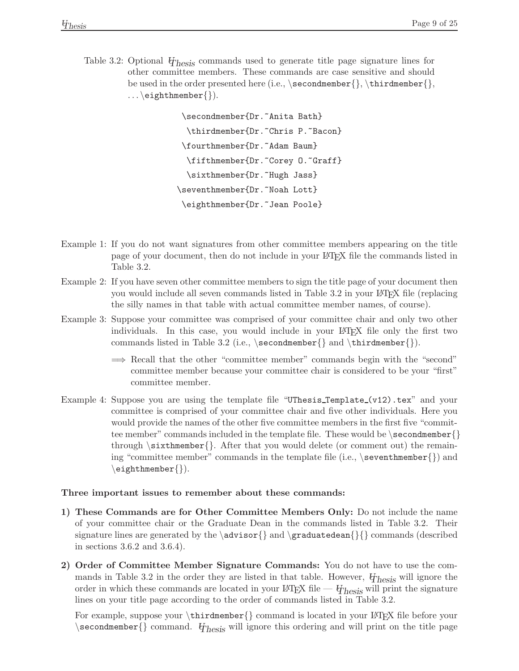<span id="page-12-0"></span>Table 3.2: Optional  $V_{\text{hesis}}$  commands used to generate title page signature lines for other committee members. These commands are case sensitive and should be used in the order presented here (i.e.,  $\sec{omdmember}$ ,  $\th{, \th{)}$  $\ldots$  \eighthmember { }).

> \secondmember{Dr.~Anita Bath} \thirdmember{Dr.~Chris P.~Bacon} \fourthmember{Dr.~Adam Baum} \fifthmember{Dr.~Corey O.~Graff} \sixthmember{Dr.~Hugh Jass} \seventhmember{Dr.~Noah Lott} \eighthmember{Dr.~Jean Poole}

- Example 1: If you do not want signatures from other committee members appearing on the title page of your document, then do not include in your LATEX file the commands listed in Table 3.2.
- Example 2: If you have seven other committee members to sign the title page of your document then you would include all seven commands listed in Table 3.2 in your LATEX file (replacing the silly names in that table with actual committee member names, of course).
- Example 3: Suppose your committee was comprised of your committee chair and only two other individuals. In this case, you would include in your LAT<sub>EX</sub> file only the first two commands listed in Table 3.2 (i.e.,  $\sec{\theta}$  and  $\thinspace\$  and  $\thinspace\$ 
	- =⇒ Recall that the other "committee member" commands begin with the "second" committee member because your committee chair is considered to be your "first" committee member.
- Example 4: Suppose you are using the template file "UThesis Template (v12).tex" and your committee is comprised of your committee chair and five other individuals. Here you would provide the names of the other five committee members in the first five "committee member" commands included in the template file. These would be  $\sec{$ through  $\s$ ixthmember $\}$ . After that you would delete (or comment out) the remaining "committee member" commands in the template file (i.e.,  $\setminus$  seventhmember $\{\}$ ) and  $\left\{ \right\}$ .

#### **Three important issues to remember about these commands:**

- **1) These Commands are for Other Committee Members Only:** Do not include the name of your committee chair or the Graduate Dean in the commands listed in Table 3.2. Their signature lines are generated by the  $\advisor{\}$  and  $\gr false$  commands (described in sections 3.6.2 and 3.6.4).
- **2) Order of Committee Member Signature Commands:** You do not have to use the commands in Table 3.2 in the order they are listed in that table. However,  $\ddot{\theta}$  hesis will ignore the order in which these commands are located in your  $\mathbb{F}E[X]$  file  $-\mathbb{F}E[Y]$  will print the signature lines on your title page according to the order of commands listed in Table 3.2.

For example, suppose your  $\tilde{\mathrm{}}$  command is located in your LATEX file before your \secondmember{} command. *UThesis* will ignore this ordering and will print on the title page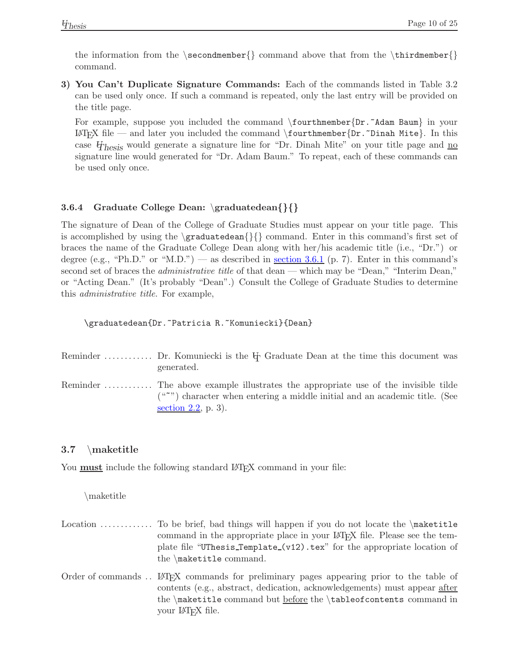the information from the \secondmember {} command above that from the \thirdmember {} command.

**3) You Can't Duplicate Signature Commands:** Each of the commands listed in Table 3.2 can be used only once. If such a command is repeated, only the last entry will be provided on the title page.

For example, suppose you included the command  $\form{\text{Dir.}Adam Baum}\$  in your LATEX file — and later you included the command  $\forall$  fourthmember{Dr.~Dinah Mite}. In this case  $\mathbf{y}_{\text{hesis}}$  would generate a signature line for "Dr. Dinah Mite" on your title page and no signature line would generated for "Dr. Adam Baum." To repeat, each of these commands can be used only once.

## <span id="page-13-0"></span>**3.6.4 Graduate College Dean:** \**graduatedean***{}{}*

The signature of Dean of the College of Graduate Studies must appear on your title page. This is accomplished by using the \graduatedean{}{} command. Enter in this command's first set of braces the name of the Graduate College Dean along with her/his academic title (i.e., "Dr.") or degree (e.g., "Ph.D." or "M.D.") — as described in <u>[section 3.6.1](#page-10-3)</u> (p. 7). Enter in this command's second set of braces the *administrative title* of that dean — which may be "Dean," "Interim Dean," or "Acting Dean." (It's probably "Dean".) Consult the College of Graduate Studies to determine this *administrative title*. For example,

\graduatedean{Dr.~Patricia R.~Komuniecki}{Dean}

| Reminder  Dr. Komuniecki is the $\mathbb H$ Graduate Dean at the time this document was<br>generated.  |
|--------------------------------------------------------------------------------------------------------|
| $($ "") character when entering a middle initial and an academic title. (See<br>section $2.2$ , p. 3). |

## <span id="page-13-1"></span>**3.7** \**maketitle**

You **must** include the following standard LAT<sub>E</sub>X command in your file:

\maketitle

- Location  $\dots \dots$  To be brief, bad things will happen if you do not locate the  $\text{maketitle}}$ command in the appropriate place in your LAT<sub>EX</sub> file. Please see the template file "UThesis Template (v12).tex" for the appropriate location of the \maketitle command.
- Order of commands . . LATEX commands for preliminary pages appearing prior to the table of contents (e.g., abstract, dedication, acknowledgements) must appear after the \maketitle command but <u>before</u> the \tableofcontents command in your LAT<sub>F</sub>X file.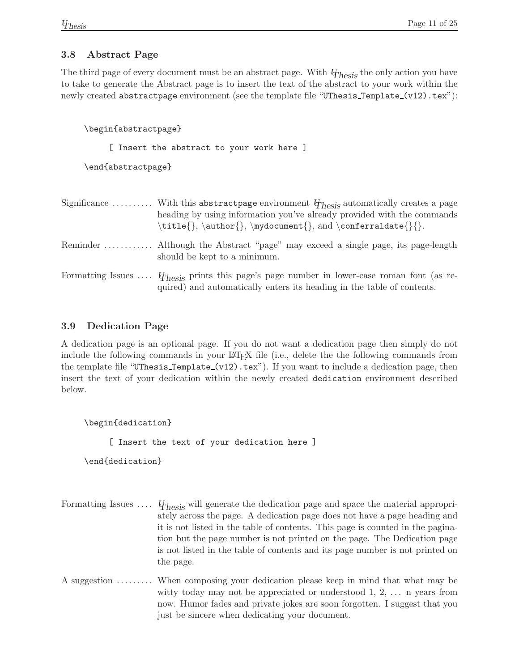## <span id="page-14-0"></span>**3.8 Abstract Page**

The third page of every document must be an abstract page. With *UThesis* the only action you have to take to generate the Abstract page is to insert the text of the abstract to your work within the newly created abstractpage environment (see the template file "UThesis\_Template\_(v12).tex"):

\begin{abstractpage}

[ Insert the abstract to your work here ]

\end{abstractpage}

| Significance  With this abstract page environment $\psi_{\text{hesis}}$ automatically creates a page<br>heading by using information you've already provided with the commands<br>\title{}, \author{}, \mydocument{}, and \conferraldate{}{}. |
|-----------------------------------------------------------------------------------------------------------------------------------------------------------------------------------------------------------------------------------------------|
| Reminder  Although the Abstract "page" may exceed a single page, its page-length<br>should be kept to a minimum.                                                                                                                              |
| Formatting Issues $\ddot{\theta}_{\text{hesis}}$ prints this page's page number in lower-case roman font (as re-<br>quired) and automatically enters its heading in the table of contents.                                                    |

## <span id="page-14-1"></span>**3.9 Dedication Page**

A dedication page is an optional page. If you do not want a dedication page then simply do not include the following commands in your LAT<sub>EX</sub> file (i.e., delete the the following commands from the template file "UThesis\_Template\_(v12).tex"). If you want to include a dedication page, then insert the text of your dedication within the newly created dedication environment described below.

\begin{dedication}

[ Insert the text of your dedication here ]

\end{dedication}

- Formatting Issues .... *U<sub>Thesis</sub>* will generate the dedication page and space the material appropriately across the page. A dedication page does not have a page heading and it is not listed in the table of contents. This page is counted in the pagination but the page number is not printed on the page. The Dedication page is not listed in the table of contents and its page number is not printed on the page.
- A suggestion ......... When composing your dedication please keep in mind that what may be witty today may not be appreciated or understood  $1, 2, \ldots$  n years from now. Humor fades and private jokes are soon forgotten. I suggest that you just be sincere when dedicating your document.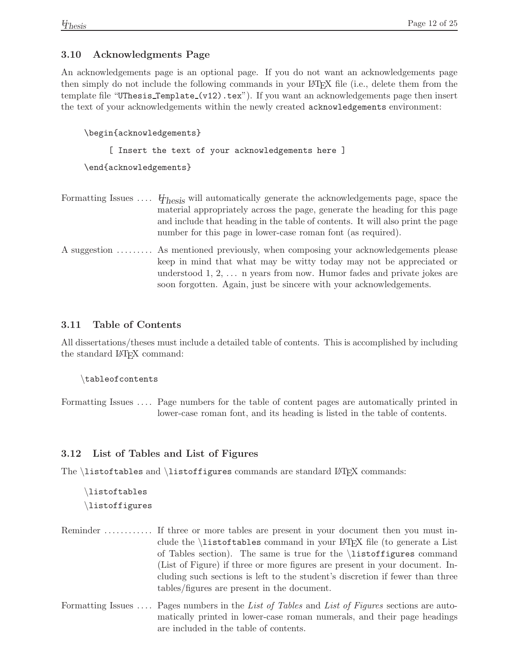## <span id="page-15-0"></span>**3.10 Acknowledgments Page**

An acknowledgements page is an optional page. If you do not want an acknowledgements page then simply do not include the following commands in your LATEX file (i.e., delete them from the template file "UThesis\_Template\_(v12).tex"). If you want an acknowledgements page then insert the text of your acknowledgements within the newly created acknowledgements environment:

```
\begin{acknowledgements}
```
[ Insert the text of your acknowledgements here ]

\end{acknowledgements}

| Formatting Issues $\mathcal{F}_{\text{hesis}}$ will automatically generate the acknowledgements page, space the<br>material appropriately across the page, generate the heading for this page<br>and include that heading in the table of contents. It will also print the page<br>number for this page in lower-case roman font (as required). |
|-------------------------------------------------------------------------------------------------------------------------------------------------------------------------------------------------------------------------------------------------------------------------------------------------------------------------------------------------|
| A suggestion  As mentioned previously, when composing your acknowledgements please<br>keep in mind that what may be witty today may not be appreciated or                                                                                                                                                                                       |

understood 1, 2, . . . n years from now. Humor fades and private jokes are

soon forgotten. Again, just be sincere with your acknowledgements.

## <span id="page-15-1"></span>**3.11 Table of Contents**

All dissertations/theses must include a detailed table of contents. This is accomplished by including the standard LAT<sub>EX</sub> command:

\tableofcontents

Formatting Issues .... Page numbers for the table of content pages are automatically printed in lower-case roman font, and its heading is listed in the table of contents.

#### <span id="page-15-2"></span>**3.12 List of Tables and List of Figures**

The  $\text{list of } \text{t}}$  and  $\text{list of } \text{t}$  commands are standard LATEX commands:

\listoftables \listoffigures

|  | clude the <i>listoftables</i> command in your L <sup>A</sup> T <sub>F</sub> X file (to generate a List |
|--|--------------------------------------------------------------------------------------------------------|
|  | of Tables section). The same is true for the <i>i</i> stoffigures command                              |
|  | (List of Figure) if three or more figures are present in your document. In-                            |
|  | cluding such sections is left to the student's discretion if fewer than three                          |
|  | tables/figures are present in the document.                                                            |

Formatting Issues . . . . Pages numbers in the *List of Tables* and *List of Figures* sections are automatically printed in lower-case roman numerals, and their page headings are included in the table of contents.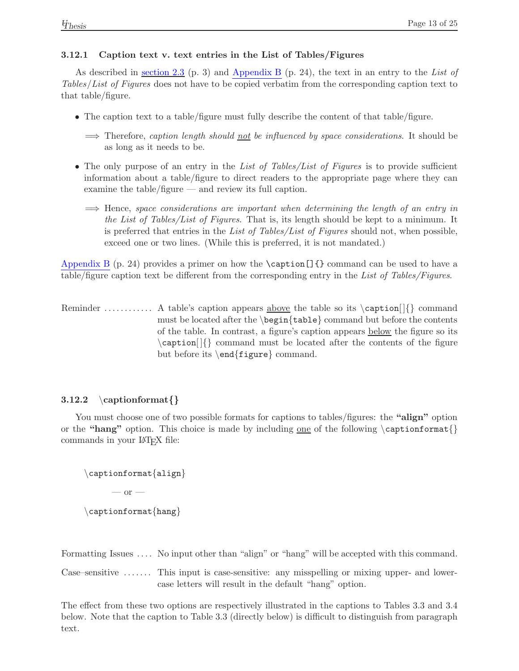#### <span id="page-16-0"></span>**3.12.1 Caption text v. text entries in the List of Tables/Figures**

As described in [section 2.3](#page-6-1) (p. 3) and [Appendix B](#page-27-2) (p. 24), the text in an entry to the *List of Tables*/*List of Figures* does not have to be copied verbatim from the corresponding caption text to that table/figure.

- The caption text to a table/figure must fully describe the content of that table/figure.
	- =⇒ Therefore, *caption length should not be influenced by space considerations*. It should be as long as it needs to be.
- The only purpose of an entry in the *List of Tables/List of Figures* is to provide sufficient information about a table/figure to direct readers to the appropriate page where they can examine the table/figure — and review its full caption.
	- =⇒ Hence, *space considerations are important when determining the length of an entry in the List of Tables/List of Figures*. That is, its length should be kept to a minimum. It is preferred that entries in the *List of Tables/List of Figures* should not, when possible, exceed one or two lines. (While this is preferred, it is not mandated.)

[Appendix B](#page-27-1) (p. 24) provides a primer on how the  $\cosh(1)$  command can be used to have a table/figure caption text be different from the corresponding entry in the *List of Tables/Figures*.

Reminder ............ A table's caption appears above the table so its  $\cap$ [ $\{\}\$  command must be located after the  $\begin{cases} \begin{pmatrix} \begin{array}{c} \text{b} \\ \text{c} \end{array} \end{pmatrix}$  command but before the contents of the table. In contrast, a figure's caption appears below the figure so its  $\c$ aption $\left[ \right]$  command must be located after the contents of the figure but before its \end{figure} command.

## <span id="page-16-1"></span>**3.12.2** \**captionformat***{}*

You must choose one of two possible formats for captions to tables/figures: the **"align"** option or the **"hang"** option. This choice is made by including <u>one</u> of the following \captionformat{} commands in your LATEX file:

```
\captionformat{align}
     - or -\captionformat{hang}
```
Formatting Issues .... No input other than "align" or "hang" will be accepted with this command.

Case–sensitive ....... This input is case-sensitive: any misspelling or mixing upper- and lowercase letters will result in the default "hang" option.

The effect from these two options are respectively illustrated in the captions to Tables 3.3 and 3.4 below. Note that the caption to Table 3.3 (directly below) is difficult to distinguish from paragraph text.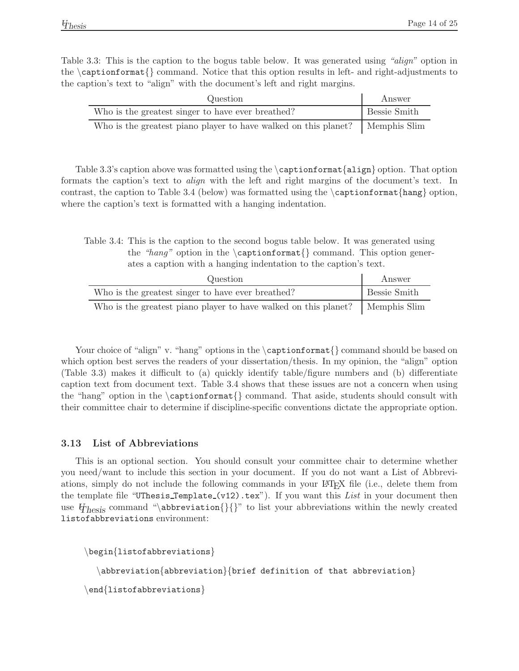<span id="page-17-1"></span>Table 3.3: This is the caption to the bogus table below. It was generated using *"align"* option in the \captionformat{} command. Notice that this option results in left- and right-adjustments to the caption's text to "align" with the document's left and right margins.

| Question                                                        | Answer       |
|-----------------------------------------------------------------|--------------|
| Who is the greatest singer to have ever breathed?               | Bessie Smith |
| Who is the greatest piano player to have walked on this planet? | Memphis Slim |

<span id="page-17-2"></span>Table 3.3's caption above was formatted using the  $\cap$  rationformat $\{align\}$  option. That option formats the caption's text to *align* with the left and right margins of the document's text. In contrast, the caption to Table 3.4 (below) was formatted using the  $\cap$  captionformat{hang} option, where the caption's text is formatted with a hanging indentation.

Table 3.4: This is the caption to the second bogus table below. It was generated using the "hang" option in the  $\operatorname{constant}$  command. This option generates a caption with a hanging indentation to the caption's text.

| Question                                                        | Answer              |
|-----------------------------------------------------------------|---------------------|
| Who is the greatest singer to have ever breathed?               | <b>Bessie Smith</b> |
| Who is the greatest piano player to have walked on this planet? | Memphis Slim        |

Your choice of "align" v. "hang" options in the  $\cap$   $\emptyset$  command should be based on which option best serves the readers of your dissertation/thesis. In my opinion, the "align" option (Table 3.3) makes it difficult to (a) quickly identify table/figure numbers and (b) differentiate caption text from document text. Table 3.4 shows that these issues are not a concern when using the "hang" option in the \captionformat{} command. That aside, students should consult with their committee chair to determine if discipline-specific conventions dictate the appropriate option.

#### <span id="page-17-0"></span>**3.13 List of Abbreviations**

This is an optional section. You should consult your committee chair to determine whether you need/want to include this section in your document. If you do not want a List of Abbreviations, simply do not include the following commands in your LATEX file (i.e., delete them from the template file "UThesis\_Template\_(v12).tex"). If you want this *List* in your document then use  $\mathcal{H}_{\text{hesis}}$  command "\abbreviation{}{}" to list your abbreviations within the newly created listofabbreviations environment:

```
\begin{listofabbreviations}
  \abbreviation{abbreviation}{brief definition of that abbreviation}
\end{listofabbreviations}
```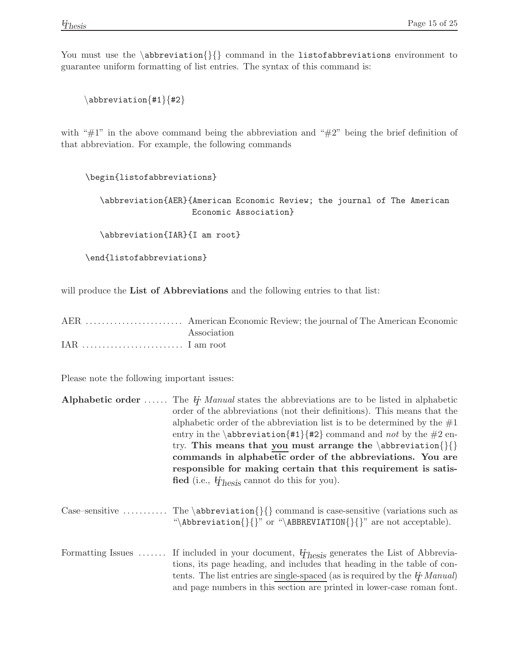You must use the \abbreviation{}{} command in the listofabbreviations environment to guarantee uniform formatting of list entries. The syntax of this command is:

 $\ab{\text{t1}}$ {#2}

with " $\#1$ " in the above command being the abbreviation and " $\#2$ " being the brief definition of that abbreviation. For example, the following commands

\begin{listofabbreviations}

\abbreviation{AER}{American Economic Review; the journal of The American Economic Association}

\abbreviation{IAR}{I am root}

\end{listofabbreviations}

will produce the **List of Abbreviations** and the following entries to that list:

| Association |
|-------------|
|             |

Please note the following important issues:

| <b>Alphabetic order</b> The $\ddot{\theta}$ Manual states the abbreviations are to be listed in alphabetic |
|------------------------------------------------------------------------------------------------------------|
| order of the abbreviations (not their definitions). This means that the                                    |
| alphabetic order of the abbreviation list is to be determined by the $#1$                                  |
| entry in the \abbreviation{#1}{#2} command and <i>not</i> by the #2 en-                                    |
| try. This means that you must arrange the $abbreviation\{\}$                                               |
| commands in alphabetic order of the abbreviations. You are                                                 |
| responsible for making certain that this requirement is satis-                                             |
| fied (i.e., $\mathbf{\psi}_{\text{hesis}}$ cannot do this for you).                                        |
|                                                                                                            |

Case–sensitive ........... The \abbreviation{}{} command is case-sensitive (variations such as "\Abbreviation{}{}" or "\ABBREVIATION{}{}" are not acceptable).

Formatting Issues ...... If included in your document,  $\varphi_{\text{hesis}}$  generates the List of Abbreviations, its page heading, and includes that heading in the table of contents. The list entries are single-spaced (as is required by the *UT Manual*) and page numbers in this section are printed in lower-case roman font.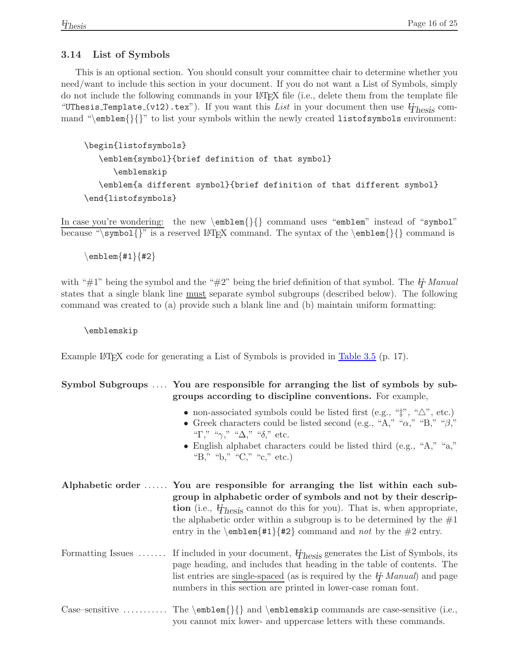#### <span id="page-19-0"></span>**3.14 List of Symbols**

This is an optional section. You should consult your committee chair to determine whether you need/want to include this section in your document. If you do not want a List of Symbols, simply do not include the following commands in your LAT<sub>EX</sub> file (i.e., delete them from the template file "UThesis\_Template\_(v12).tex"). If you want this *List* in your document then use  $\mathcal{U}_{\text{hesis}}$  command "\emblem{}{}" to list your symbols within the newly created listofsymbols environment:

```
\begin{listofsymbols}
   \emblem{symbol}{brief definition of that symbol}
      \emblemskip
   \emblem{a different symbol}{brief definition of that different symbol}
\end{listofsymbols}
```
In case you're wondering: the new \emblem{}{} command uses "emblem" instead of "symbol" because "\symbol{}" is a reserved LATEX command. The syntax of the \emblem{}{} command is

 $\text{emblem}_{#1}{#2}$ 

with "#1" being the symbol and the "#2" being the brief definition of that symbol. The *UT* Manual states that a single blank line must separate symbol subgroups (described below). The following command was created to (a) provide such a blank line and (b) maintain uniform formatting:

\emblemskip

Example LAT<sub>EX</sub> code for generating a List of Symbols is provided in [Table 3.5](#page-20-1) (p. 17).

#### **Symbol Subgroups** .... **You are responsible for arranging the list of symbols by subgroups according to discipline conventions.** For example,

- non-associated symbols could be listed first (e.g., " $\ddagger$ ", " $\triangle$ ", etc.)
- Greek characters could be listed second (e.g., "A," " $\alpha$ ," "B," " $\beta$ ," "Γ," " $\gamma$ ," " $\Delta$ ," "δ," etc.
- English alphabet characters could be listed third (e.g., "A," "a," "B," "b," "C," "c," etc.)
- **Alphabetic order** ...... **You are responsible for arranging the list within each subgroup in alphabetic order of symbols and not by their description** (i.e., *UThesis* cannot do this for you). That is, when appropriate, the alphabetic order within a subgroup is to be determined by the  $#1$ entry in the  $\emph{#1}{#2}$  command and *not* by the #2 entry.
- Formatting Issues ...... If included in your document,  $\varphi_{\text{hesis}}$  generates the List of Symbols, its page heading, and includes that heading in the table of contents. The list entries are single-spaced (as is required by the *UT Manual*) and page numbers in this section are printed in lower-case roman font.
- Case–sensitive .......... The  $\emph{}{}$  and  $\emph{emblemskip}$  commands are case-sensitive (i.e., you cannot mix lower- and uppercase letters with these commands.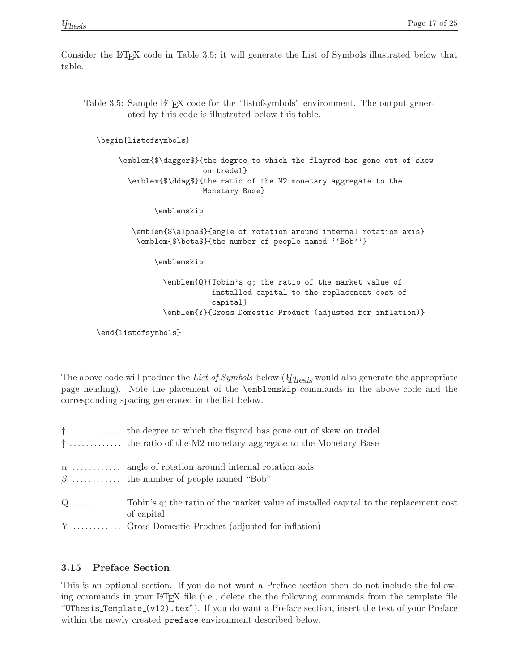<span id="page-20-1"></span>Consider the LATEX code in Table 3.5; it will generate the List of Symbols illustrated below that table.

Table 3.5: Sample LATEX code for the "listofsymbols" environment. The output generated by this code is illustrated below this table.

```
\begin{listofsymbols}
```
\emblem{\$\dagger\$}{the degree to which the flayrod has gone out of skew on tredel} \emblem{\$\ddag\$}{the ratio of the M2 monetary aggregate to the Monetary Base}

\emblemskip

```
\emblem{$\alpha$}{angle of rotation around internal rotation axis}
 \emblem{$\beta$}{the number of people named ''Bob''}
```
\emblemskip

\emblem{Q}{Tobin's q; the ratio of the market value of installed capital to the replacement cost of capital} \emblem{Y}{Gross Domestic Product (adjusted for inflation)}

```
\end{listofsymbols}
```
The above code will produce the *List of Symbols* below (*UThesis* would also generate the appropriate page heading). Note the placement of the \emblemskip commands in the above code and the corresponding spacing generated in the list below.

| $\dagger$ the degree to which the flayrod has gone out of skew on tredel<br>$\ddagger$ the ratio of the M2 monetary aggregate to the Monetary Base |
|----------------------------------------------------------------------------------------------------------------------------------------------------|
| $\alpha$ angle of rotation around internal rotation axis<br>$\beta$ the number of people named "Bob"                                               |
| $Q$ Tobin's q; the ratio of the market value of installed capital to the replacement cost<br>of capital                                            |
| Y  Gross Domestic Product (adjusted for inflation)                                                                                                 |

## <span id="page-20-0"></span>**3.15 Preface Section**

This is an optional section. If you do not want a Preface section then do not include the following commands in your LATEX file (i.e., delete the the following commands from the template file "UThesis Template (v12).tex"). If you do want a Preface section, insert the text of your Preface within the newly created **preface** environment described below.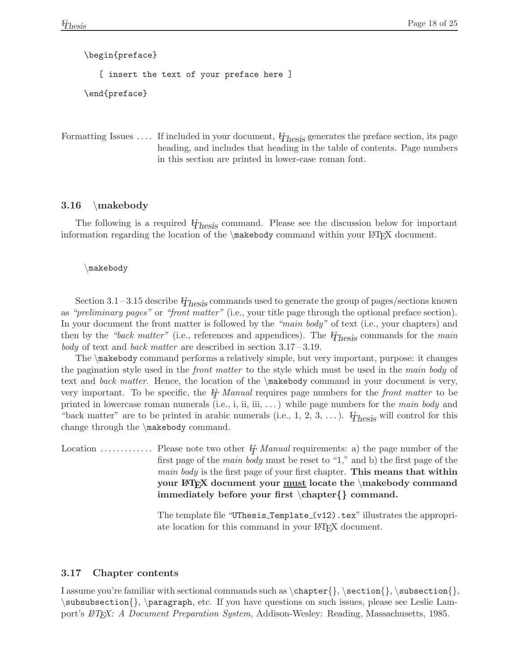\begin{preface} [ insert the text of your preface here ] \end{preface}

Formatting Issues .... If included in your document,  $\varphi_{\text{hesis}}$  generates the preface section, its page heading, and includes that heading in the table of contents. Page numbers in this section are printed in lower-case roman font.

#### <span id="page-21-0"></span>**3.16** \**makebody**

The following is a required  $\mathcal{H}_{\text{hesis}}$  command. Please see the discussion below for important information regarding the location of the  $\mathbb{Q}$  command within your LATEX document.

#### \makebody

Section 3.1 – 3.15 describe *UThesis* commands used to generate the group of pages/sections known as *"preliminary pages"* or *"front matter"* (i.e., your title page through the optional preface section). In your document the front matter is followed by the *"main body"* of text (i.e., your chapters) and then by the *"back matter"* (i.e., references and appendices). The *UThesis* commands for the *main body* of text and *back matter* are described in section 3.17 – 3.19.

The \makebody command performs a relatively simple, but very important, purpose: it changes the pagination style used in the *front matter* to the style which must be used in the *main body* of text and *back matter*. Hence, the location of the \makebody command in your document is very, very important. To be specific, the *UT Manual* requires page numbers for the *front matter* to be printed in lowercase roman numerals (i.e., i, ii, iii, . . . ) while page numbers for the *main body* and "back matter" are to be printed in arabic numerals (i.e.,  $1, 2, 3, \ldots$ ). *U*<sub>hesis</sub> will control for this change through the \makebody command.

Location . . . . . . . . . . . . . Please note two other *UT Manual* requirements: a) the page number of the first page of the *main body* must be reset to "1," and b) the first page of the *main body* is the first page of your first chapter. **This means that within your LATEX document your must locate the** \**makebody command immediately before your first** \**chapter***{}* **command.**

> The template file "UThesis\_Template\_ $(v12)$ .tex" illustrates the appropriate location for this command in your LAT<sub>EX</sub> document.

#### <span id="page-21-1"></span>**3.17 Chapter contents**

I assume you're familiar with sectional commands such as  $\hat{\}, \setminus \$  $\subset \mathbb{}$ ,  $\param{$ ,  $\aragnh, etc.$  If you have questions on such issues, please see Leslie Lamport's  $\cancel{B}$ *TEX: A Document Preparation System*, Addison-Wesley: Reading, Massachusetts, 1985.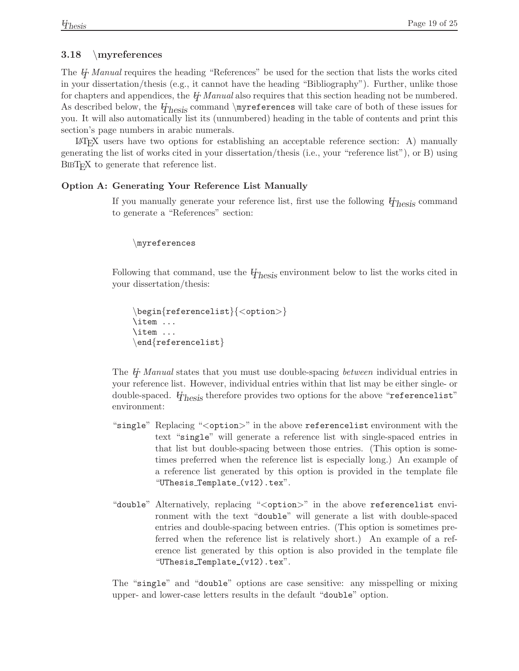## <span id="page-22-0"></span>**3.18** \**myreferences**

The *UT Manual* requires the heading "References" be used for the section that lists the works cited in your dissertation/thesis (e.g., it cannot have the heading "Bibliography"). Further, unlike those for chapters and appendices, the *UT Manual* also requires that this section heading not be numbered. As described below, the  $H<sub>hesis</sub>$  command \myreferences will take care of both of these issues for you. It will also automatically list its (unnumbered) heading in the table of contents and print this section's page numbers in arabic numerals.

 $\Delta F$ <sub>EX</sub> users have two options for establishing an acceptable reference section: A) manually generating the list of works cited in your dissertation/thesis (i.e., your "reference list"), or B) using BIBT<sub>E</sub>X to generate that reference list.

#### **Option A: Generating Your Reference List Manually**

If you manually generate your reference list, first use the following *UThesis* command to generate a "References" section:

```
\myreferences
```
Following that command, use the  $\mathcal{U}_{\text{hesis}}$  environment below to list the works cited in your dissertation/thesis:

```
\begin{referencelist}{<option>}
\item ...
\item ...
\end{referencelist}
```
The  $\oint$  *Manual* states that you must use double-spacing *between* individual entries in your reference list. However, individual entries within that list may be either single- or double-spaced. *UThesis* therefore provides two options for the above "referencelist" environment:

- "single" Replacing "<option>" in the above referencelist environment with the text "single" will generate a reference list with single-spaced entries in that list but double-spacing between those entries. (This option is sometimes preferred when the reference list is especially long.) An example of a reference list generated by this option is provided in the template file "UThesis Template (v12).tex".
- "double" Alternatively, replacing "<option>" in the above referencelist environment with the text "double" will generate a list with double-spaced entries and double-spacing between entries. (This option is sometimes preferred when the reference list is relatively short.) An example of a reference list generated by this option is also provided in the template file "UThesis\_Template\_(v12).tex".

The "single" and "double" options are case sensitive: any misspelling or mixing upper- and lower-case letters results in the default "double" option.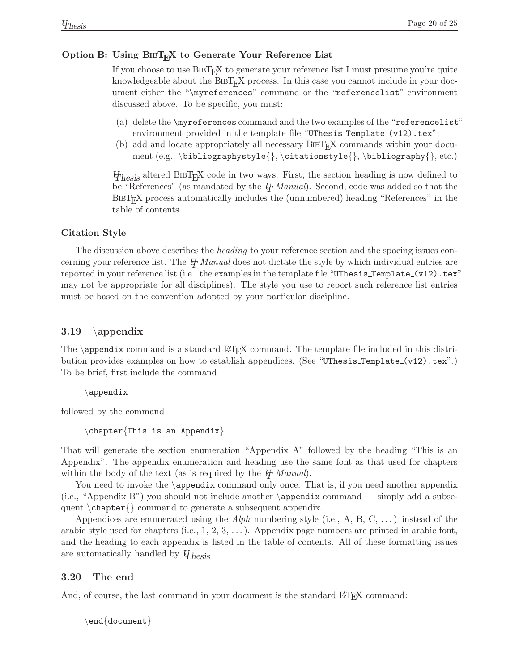#### Option B: Using BIBT<sub>E</sub>X to Generate Your Reference List

If you choose to use BibTEX to generate your reference list I must presume you're quite knowledgeable about the BIBT<sub>EX</sub> process. In this case you cannot include in your document either the "\myreferences" command or the "referencelist" environment discussed above. To be specific, you must:

- (a) delete the \myreferences command and the two examples of the "referencelist" environment provided in the template file "UThesis\_Template\_(v12).tex";
- (b) add and locate appropriately all necessary BibTEX commands within your document  $(e.g., \bibliographystyle{} \citationsstyle{} \bibliography{} , etc.)$

*U*<sub>hesis</sub> altered BIBT<sub>E</sub>X code in two ways. First, the section heading is now defined to be "References" (as mandated by the  $\cancel{H}$  *Manual*). Second, code was added so that the BibTEX process automatically includes the (unnumbered) heading "References" in the table of contents.

#### **Citation Style**

The discussion above describes the *heading* to your reference section and the spacing issues concerning your reference list. The *UT Manual* does not dictate the style by which individual entries are reported in your reference list (i.e., the examples in the template file "UThesis\_Template\_(v12).tex" may not be appropriate for all disciplines). The style you use to report such reference list entries must be based on the convention adopted by your particular discipline.

#### <span id="page-23-0"></span>**3.19** \**appendix**

The  $\boldsymbol{\alpha}$  is a standard LAT<sub>EX</sub> command. The template file included in this distribution provides examples on how to establish appendices. (See "UThesis\_Template\_(v12).tex".) To be brief, first include the command

\appendix

followed by the command

\chapter{This is an Appendix}

That will generate the section enumeration "Appendix A" followed by the heading "This is an Appendix". The appendix enumeration and heading use the same font as that used for chapters within the body of the text (as is required by the  $\psi$  *Manual*).

You need to invoke the \appendix command only once. That is, if you need another appendix (i.e., "Appendix B") you should not include another  $\qquad$  appendix command — simply add a subsequent \chapter{} command to generate a subsequent appendix.

Appendices are enumerated using the *Alph* numbering style (i.e., A, B, C, . . . ) instead of the arabic style used for chapters (i.e.,  $1, 2, 3, \ldots$  ). Appendix page numbers are printed in arabic font, and the heading to each appendix is listed in the table of contents. All of these formatting issues are automatically handled by *UThesis*.

## <span id="page-23-1"></span>**3.20 The end**

And, of course, the last command in your document is the standard L<sup>AT</sup>EX command:

```
\end{document}
```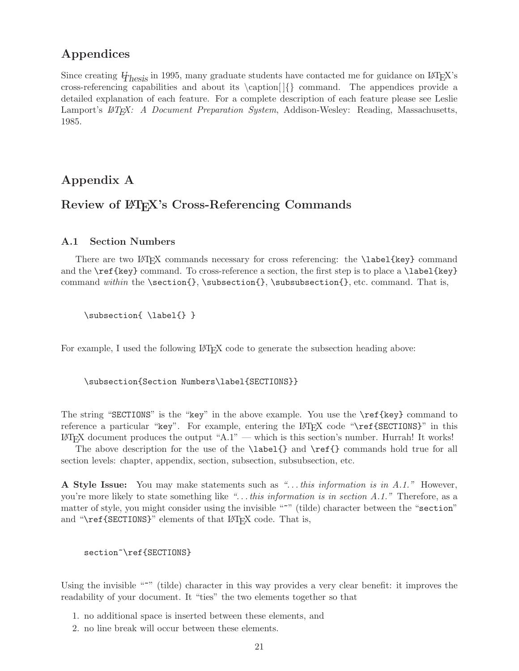## **Appendices**

Since creating  $\psi_{\text{hesis}}$  in 1995, many graduate students have contacted me for guidance on LAT<sub>E</sub>X's cross-referencing capabilities and about its \caption[ ]{} command. The appendices provide a detailed explanation of each feature. For a complete description of each feature please see Leslie Lamport's *LA*<sub>*TEX: A Document Preparation System*, Addison-Wesley: Reading, Massachusetts,</sub> 1985.

## **Appendix A**

## <span id="page-24-0"></span>Review of  $\text{MTEX's Cross-Refereencing Commons}$

#### <span id="page-24-1"></span>**A.1 Section Numbers**

There are two LATEX commands necessary for cross referencing: the **\label**{key} command and the  $\ref{key}$  command. To cross-reference a section, the first step is to place a  $\label{key}$ command *within* the \section{}, \subsection{}, \subsubsection{}, etc. command. That is,

\subsection{ \label{} }

For example, I used the following LAT<sub>EX</sub> code to generate the subsection heading above:

\subsection{Section Numbers\label{SECTIONS}}

The string "SECTIONS" is the "key" in the above example. You use the \ref{key} command to reference a particular "key". For example, entering the LAT<sub>EX</sub> code "\ref{SECTIONS}" in this LATEX document produces the output "A.1" — which is this section's number. Hurrah! It works!

The above description for the use of the **\label{}** and **\ref{}** commands hold true for all section levels: chapter, appendix, section, subsection, subsubsection, etc.

**A Style Issue:** You may make statements such as *". . . this information is in A.1."* However, you're more likely to state something like *". . . this information is in section A.1."* Therefore, as a matter of style, you might consider using the invisible "~" (tilde) character between the "section" and "\ref{SECTIONS}" elements of that LAT<sub>E</sub>X code. That is,

```
section~\ref{SECTIONS}
```
Using the invisible "<sup>\*</sup>" (tilde) character in this way provides a very clear benefit: it improves the readability of your document. It "ties" the two elements together so that

- 1. no additional space is inserted between these elements, and
- 2. no line break will occur between these elements.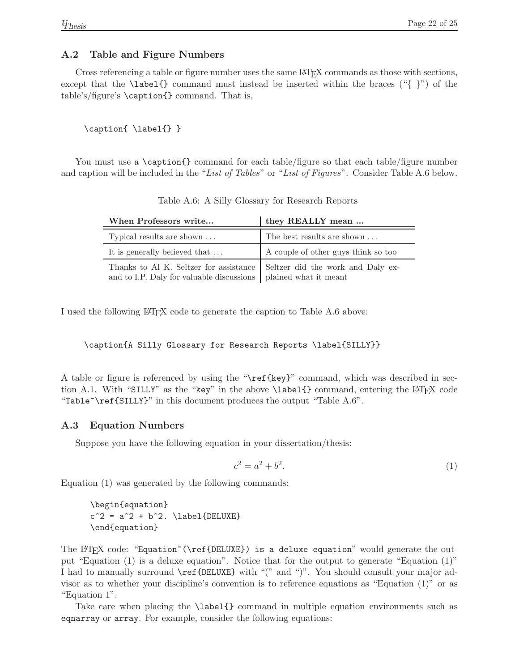#### <span id="page-25-0"></span>**A.2 Table and Figure Numbers**

Cross referencing a table or figure number uses the same LATEX commands as those with sections, except that the **\label{}** command must instead be inserted within the braces  $(\lq \rq)$  of the table's/figure's \caption{} command. That is,

\caption{ \label{} }

You must use a \caption{} command for each table/figure so that each table/figure number and caption will be included in the "*List of Tables*" or "*List of Figures*". Consider Table A.6 below.

| When Professors write                                                                                                                           | they REALLY mean                    |  |
|-------------------------------------------------------------------------------------------------------------------------------------------------|-------------------------------------|--|
| Typical results are shown                                                                                                                       | The best results are shown          |  |
| It is generally believed that                                                                                                                   | A couple of other guys think so too |  |
| Thanks to Al K. Seltzer for assistance   Seltzer did the work and Daly ex-<br>and to I.P. Daly for valuable discussions   plained what it meant |                                     |  |

<span id="page-25-2"></span>Table A.6: A Silly Glossary for Research Reports

I used the following LAT<sub>EX</sub> code to generate the caption to Table A.6 above:

\caption{A Silly Glossary for Research Reports \label{SILLY}}

A table or figure is referenced by using the "\ref{key}" command, which was described in section A.1. With "SILLY" as the "key" in the above \label{} command, entering the LATEX code "Table~\ref{SILLY}" in this document produces the output "Table A.6".

#### <span id="page-25-1"></span>**A.3 Equation Numbers**

Suppose you have the following equation in your dissertation/thesis:

$$
c^2 = a^2 + b^2. \t\t(1)
$$

Equation (1) was generated by the following commands:

```
\begin{equation}
c^2 = a^2 + b^2. \label{DELUXE}
\end{equation}
```
The LAT<sub>EX</sub> code: "Equation" (\ref{DELUXE}) is a deluxe equation" would generate the output "Equation (1) is a deluxe equation". Notice that for the output to generate "Equation (1)" I had to manually surround \ref{DELUXE} with "(" and ")". You should consult your major advisor as to whether your discipline's convention is to reference equations as "Equation (1)" or as "Equation 1".

Take care when placing the \label{} command in multiple equation environments such as eqnarray or array. For example, consider the following equations: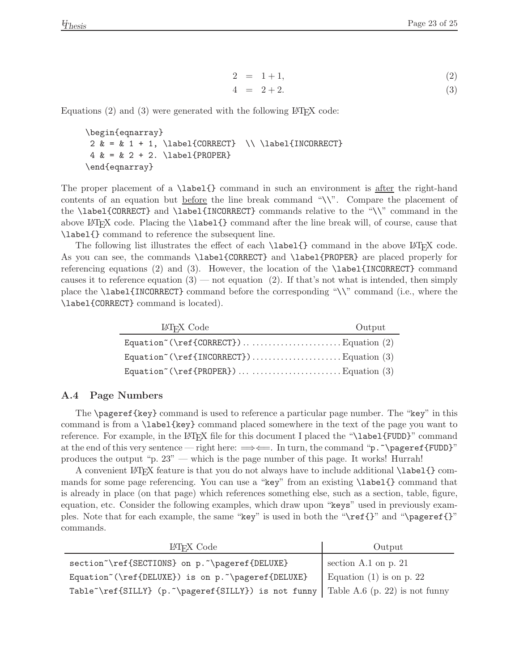$$
2 = 1 + 1,\tag{2}
$$

$$
4 = 2 + 2. \tag{3}
$$

Equations  $(2)$  and  $(3)$  were generated with the following LAT<sub>EX</sub> code:

```
\begin{eqnarray}
 2 \& = \& 1 + 1, \label{CORRECT} \\ \label{INCORRECT}
 4 \& = \& 2 + 2. \langle D = 1\end{eqnarray}
```
The proper placement of a \label{} command in such an environment is <u>after</u> the right-hand contents of an equation but before the line break command "\\". Compare the placement of the \label{CORRECT} and \label{INCORRECT} commands relative to the "\\" command in the above LATEX code. Placing the \label{} command after the line break will, of course, cause that \label{} command to reference the subsequent line.

The following list illustrates the effect of each  $\label{thm:rel}$  command in the above  $\mathbb{P}T\to$  code. As you can see, the commands \label{CORRECT} and \label{PROPER} are placed properly for referencing equations (2) and (3). However, the location of the  $\lambda$  abel{INCORRECT} command causes it to reference equation  $(3)$  — not equation  $(2)$ . If that's not what is intended, then simply place the \label{INCORRECT} command before the corresponding "\\" command (i.e., where the \label{CORRECT} command is located).

| LAT <sub>F</sub> X Code                                                  | Output |
|--------------------------------------------------------------------------|--------|
|                                                                          |        |
| Equation <sup><math>\check{ }</math></sup> (\ref{INCORRECT})Equation (3) |        |
|                                                                          |        |

#### <span id="page-26-0"></span>**A.4 Page Numbers**

The \pageref{key} command is used to reference a particular page number. The "key" in this command is from a \label{key} command placed somewhere in the text of the page you want to reference. For example, in the LAT<sub>EX</sub> file for this document I placed the "\label{FUDD}" command at the end of this very sentence — right here:  $\Longrightarrow \leftarrow$ . In turn, the command "p." \pageref{FUDD}" produces the output "p. 23" — which is the page number of this page. It works! Hurrah!

A convenient LATEX feature is that you do not always have to include additional \label{} commands for some page referencing. You can use a "key" from an existing \label{} command that is already in place (on that page) which references something else, such as a section, table, figure, equation, etc. Consider the following examples, which draw upon "keys" used in previously examples. Note that for each example, the same "key" is used in both the "\ref{}" and "\pageref{}" commands.

| LAT <sub>F</sub> X Code                                                                                            | Output                     |
|--------------------------------------------------------------------------------------------------------------------|----------------------------|
| section~\ref{SECTIONS} on p.~\pageref{DELUXE}                                                                      | section A.1 on $p. 21$     |
| Equation~(\ref{DELUXE}) is on p.~\pageref{DELUXE}                                                                  | Equation $(1)$ is on p. 22 |
| Table <sup><math>\ref{SILLY}</math></sup> (p. $\tag{p. \text{SILLY}$ ) is not funny Table A.6 (p. 22) is not funny |                            |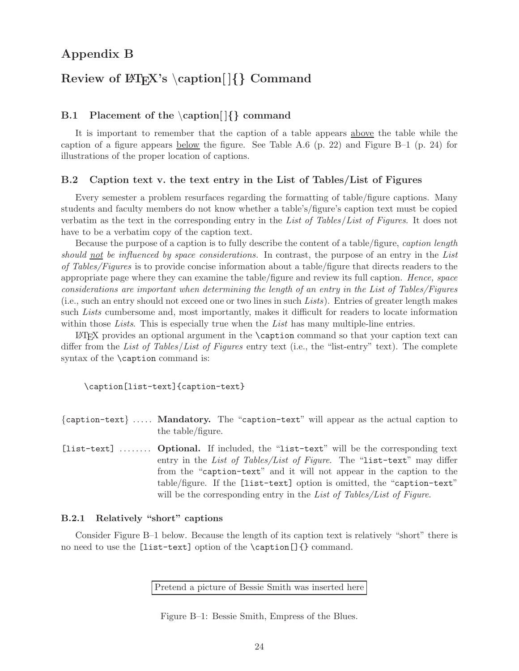## **Appendix B**

## <span id="page-27-0"></span>**Review of LATEX's** \**caption[ ]***{}* **Command**

#### <span id="page-27-1"></span>**B.1 Placement of the** \**caption[ ]***{}* **command**

It is important to remember that the caption of a table appears above the table while the caption of a figure appears below the figure. See Table A.6  $(p. 22)$  and Figure B-1  $(p. 24)$  for illustrations of the proper location of captions.

#### <span id="page-27-2"></span>**B.2 Caption text v. the text entry in the List of Tables/List of Figures**

Every semester a problem resurfaces regarding the formatting of table/figure captions. Many students and faculty members do not know whether a table's/figure's caption text must be copied verbatim as the text in the corresponding entry in the *List of Tables*/*List of Figures*. It does not have to be a verbatim copy of the caption text.

Because the purpose of a caption is to fully describe the content of a table/figure, *caption length should not be influenced by space considerations.* In contrast, the purpose of an entry in the *List of Tables/Figures* is to provide concise information about a table/figure that directs readers to the appropriate page where they can examine the table/figure and review its full caption. *Hence, space considerations are important when determining the length of an entry in the List of Tables/Figures* (i.e., such an entry should not exceed one or two lines in such *Lists*). Entries of greater length makes such *Lists* cumbersome and, most importantly, makes it difficult for readers to locate information within those *Lists*. This is especially true when the *List* has many multiple-line entries.

 $\Delta$ EX provides an optional argument in the \caption command so that your caption text can differ from the *List of Tables*/*List of Figures* entry text (i.e., the "list-entry" text). The complete syntax of the **\caption** command is:

\caption[list-text]{caption-text}

{caption-text} ..... **Mandatory.** The "caption-text" will appear as the actual caption to the table/figure.

[list-text] ........ **Optional.** If included, the "list-text" will be the corresponding text entry in the *List of Tables/List of Figure*. The "list-text" may differ from the "caption-text" and it will not appear in the caption to the table/figure. If the [list-text] option is omitted, the "caption-text" will be the corresponding entry in the *List of Tables/List of Figure*.

#### <span id="page-27-3"></span>**B.2.1 Relatively "short" captions**

Consider Figure B–1 below. Because the length of its caption text is relatively "short" there is no need to use the [list-text] option of the \caption[]{} command.

Pretend a picture of Bessie Smith was inserted here

<span id="page-27-4"></span>Figure B–1: Bessie Smith, Empress of the Blues.